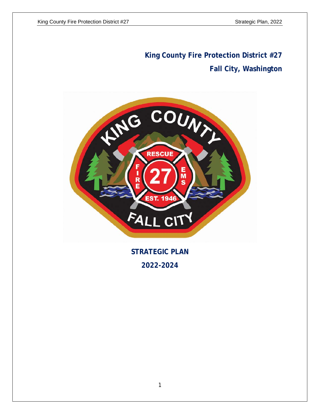# **King County Fire Protection District #27 Fall City, Washington**



**STRATEGIC PLAN 2022-2024**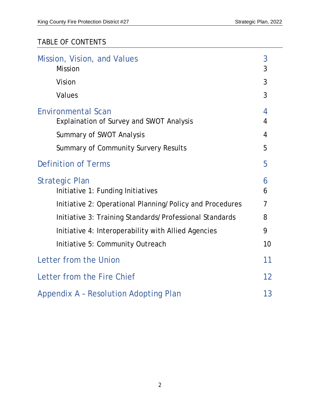# TABLE OF CONTENTS

| Mission, Vision, and Values<br><b>Mission</b>                                | 3<br>3 |
|------------------------------------------------------------------------------|--------|
| Vision                                                                       | 3      |
| Values                                                                       | 3      |
| <b>Environmental Scan</b><br><b>Explaination of Survey and SWOT Analysis</b> | 4<br>4 |
| <b>Summary of SWOT Analysis</b>                                              | 4      |
| Summary of Community Survery Results                                         | 5      |
| <b>Definition of Terms</b>                                                   | 5      |
| <b>Strategic Plan</b><br>Initiative 1: Funding Initiatives                   | 6<br>6 |
| Initiative 2: Operational Planning/Policy and Procedures                     | 7      |
| Initiative 3: Training Standards/Professional Standards                      | 8      |
| Initiative 4: Interoperability with Allied Agencies                          | 9      |
| Initiative 5: Community Outreach                                             | 10     |
| Letter from the Union                                                        | 11     |
| Letter from the Fire Chief                                                   | 12     |
| Appendix A - Resolution Adopting Plan                                        | 13     |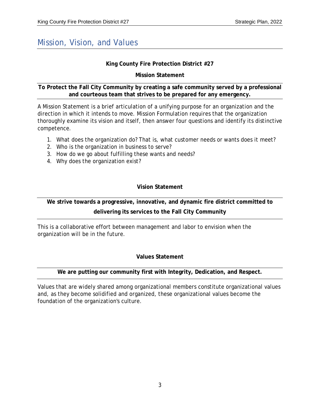### Mission, Vision, and Values

#### **King County Fire Protection District #27**

#### **Mission Statement**

#### **To Protect the Fall City Community by creating a safe community served by a professional and courteous team that strives to be prepared for any emergency.**

A Mission Statement is a brief articulation of a unifying purpose for an organization and the direction in which it intends to move. Mission Formulation requires that the organization thoroughly examine its vision and itself, then answer four questions and identify its distinctive competence.

- 1. What does the organization do? That is, what customer needs or wants does it meet?
- 2. Who is the organization in business to serve?
- 3. How do we go about fulfilling these wants and needs?
- 4. Why does the organization exist?

### **Vision Statement**

### **We strive towards a progressive, innovative, and dynamic fire district committed to delivering its services to the Fall City Community**

This is a collaborative effort between management and labor to envision when the organization will be in the future.

#### **Values Statement**

### **We are putting our community first with Integrity, Dedication, and Respect.**

Values that are widely shared among organizational members constitute organizational values and, as they become solidified and organized, these organizational values become the foundation of the organization's culture.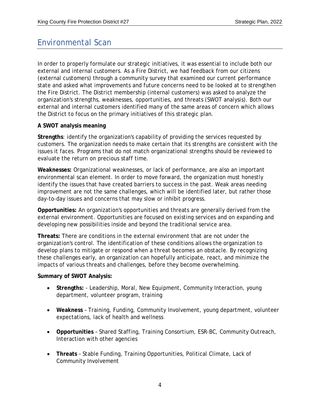### Environmental Scan

In order to properly formulate our strategic initiatives, it was essential to include both our external and internal customers. As a Fire District, we had feedback from our citizens (external customers) through a community survey that examined our current performance state and asked what improvements and future concerns need to be looked at to strengthen the Fire District. The District membership (internal customers) was asked to analyze the organization's strengths, weaknesses, opportunities, and threats (SWOT analysis). Both our external and internal customers identified many of the same areas of concern which allows the District to focus on the primary initiatives of this strategic plan.

#### **A SWOT analysis meaning**

**Strengths**: identify the organization's capability of providing the services requested by customers. The organization needs to make certain that its strengths are consistent with the issues it faces. Programs that do not match organizational strengths should be reviewed to evaluate the return on precious staff time.

**Weaknesses:** Organizational weaknesses, or lack of performance, are also an important environmental scan element. In order to move forward, the organization must honestly identify the issues that have created barriers to success in the past. Weak areas needing improvement are not the same challenges, which will be identified later, but rather those day-to-day issues and concerns that may slow or inhibit progress.

**Opportunities:** An organization's opportunities and threats are generally derived from the external environment. Opportunities are focused on existing services and on expanding and developing new possibilities inside and beyond the traditional service area.

**Threats:** There are conditions in the external environment that are not under the organization's control. The identification of these conditions allows the organization to develop plans to mitigate or respond when a threat becomes an obstacle. By recognizing these challenges early, an organization can hopefully anticipate, react, and minimize the impacts of various threats and challenges, before they become overwhelming.

#### **Summary of SWOT Analysis:**

- **Strengths:**  Leadership, Moral, New Equipment, Community Interaction, young department, volunteer program, training
- **Weakness**  Training, Funding, Community Involvement, young department, volunteer expectations, lack of health and wellness
- **Opportunities**  Shared Staffing, Training Consortium, ESR-BC, Community Outreach, Interaction with other agencies
- **Threats**  Stable Funding, Training Opportunities, Political Climate, Lack of Community Involvement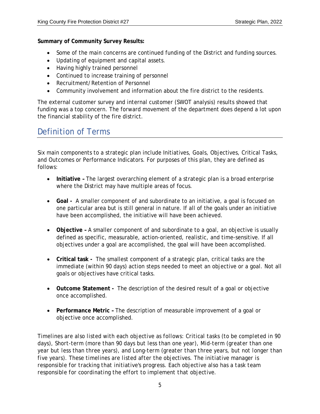**Summary of Community Survey Results:**

- Some of the main concerns are continued funding of the District and funding sources.
- Updating of equipment and capital assets.
- Having highly trained personnel
- Continued to increase training of personnel
- Recruitment/Retention of Personnel
- Community involvement and information about the fire district to the residents.

The external customer survey and internal customer (SWOT analysis) results showed that funding was a top concern. The forward movement of the department does depend a lot upon the financial stability of the fire district.

## Definition of Terms

Six main components to a strategic plan include Initiatives, Goals, Objectives, Critical Tasks, and Outcomes or Performance Indicators. For purposes of this plan, they are defined as follows:

- **Initiative –** The largest overarching element of a strategic plan is a broad enterprise where the District may have multiple areas of focus.
- **Goal -** A smaller component of and subordinate to an initiative, a goal is focused on one particular area but is still general in nature. If all of the goals under an initiative have been accomplished, the initiative will have been achieved.
- **Objective –** A smaller component of and subordinate to a goal, an objective is usually defined as specific, measurable, action-oriented, realistic, and time-sensitive. If all objectives under a goal are accomplished, the goal will have been accomplished.
- **Critical task -** The smallest component of a strategic plan, critical tasks are the immediate (within 90 days) action steps needed to meet an objective or a goal. Not all goals or objectives have critical tasks.
- **Outcome Statement -** The description of the desired result of a goal or objective once accomplished.
- **Performance Metric –** The description of measurable improvement of a goal or objective once accomplished.

*Timelines are also listed with each objective as follows: Critical tasks (to be completed in 90 days), Short-term (more than 90 days but less than one year), Mid-term (greater than one year but less than three years), and Long-term (greater than three years, but not longer than five years). These timelines are listed after the objectives. The initiative manager is responsible for tracking that initiative's progress. Each objective also has a task team responsible for coordinating the effort to implement that objective.*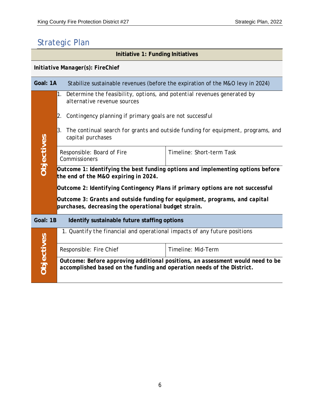# Strategic Plan

| Initiative 1: Funding Initiatives                        |                                                                                                                                    |                                                                                                           |                                                                                |  |  |
|----------------------------------------------------------|------------------------------------------------------------------------------------------------------------------------------------|-----------------------------------------------------------------------------------------------------------|--------------------------------------------------------------------------------|--|--|
| Initiative Manager(s): FireChief                         |                                                                                                                                    |                                                                                                           |                                                                                |  |  |
| Goal: 1A                                                 |                                                                                                                                    |                                                                                                           | Stabilize sustainable revenues (before the expiration of the M&O levy in 2024) |  |  |
|                                                          |                                                                                                                                    | 1. Determine the feasibility, options, and potential revenues generated by<br>alternative revenue sources |                                                                                |  |  |
|                                                          | Contingency planning if primary goals are not successful<br>2.                                                                     |                                                                                                           |                                                                                |  |  |
|                                                          | 3.<br>The continual search for grants and outside funding for equipment, programs, and<br>capital purchases                        |                                                                                                           |                                                                                |  |  |
| Objectives                                               | Responsible: Board of Fire<br>Timeline: Short-term Task<br>Commissioners                                                           |                                                                                                           |                                                                                |  |  |
|                                                          | Outcome 1: Identifying the best funding options and implementing options before<br>the end of the M&O expiring in 2024.            |                                                                                                           |                                                                                |  |  |
|                                                          | Outcome 2: Identifying Contingency Plans if primary options are not successful                                                     |                                                                                                           |                                                                                |  |  |
|                                                          | Outcome 3: Grants and outside funding for equipment, programs, and capital<br>purchases, decreasing the operational budget strain. |                                                                                                           |                                                                                |  |  |
| Goal: 1B<br>Identify sustainable future staffing options |                                                                                                                                    |                                                                                                           |                                                                                |  |  |
|                                                          | 1. Quantify the financial and operational impacts of any future positions                                                          |                                                                                                           |                                                                                |  |  |
| Objectives                                               |                                                                                                                                    | Responsible: Fire Chief                                                                                   | Timeline: Mid-Term                                                             |  |  |
|                                                          |                                                                                                                                    | accomplished based on the funding and operation needs of the District.                                    | Outcome: Before approving additional positions, an assessment would need to be |  |  |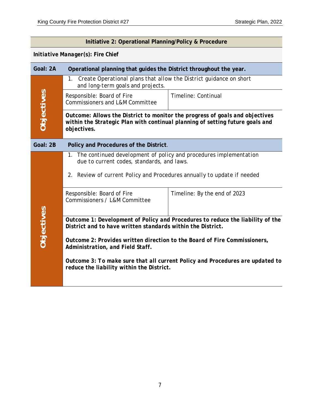### **Initiative 2: Operational Planning/Policy & Procedure** *Initiative Manager(s): Fire Chief*  **Goal: 2A Operational planning that guides the District throughout the year.** 1. *Create Operational plans that allow the District guidance on short and long-term goals and projects.* Objectives **Objectives** Timeline: Continual Responsible: Board of Fire Commissioners and L&M Committee *Outcome: Allows the District to monitor the progress of goals and objectives within the Strategic Plan with continual planning of setting future goals and objectives.*  **Goal: 2B Policy and Procedures of the District***.* 1. *The continued development of policy and procedures implementation due to current codes, standards, and laws.* 2. *Review of current Policy and Procedures annually to update if needed*  Responsible: Board of Fire Timeline: By the end of 2023 Commissioners / L&M Committee Objectives **Objectives** *Outcome 1: Development of Policy and Procedures to reduce the liability of the District and to have written standards within the District. Outcome 2: Provides written direction to the Board of Fire Commissioners, Administration, and Field Staff. Outcome 3: To make sure that all current Policy and Procedures are updated to reduce the liability within the District.*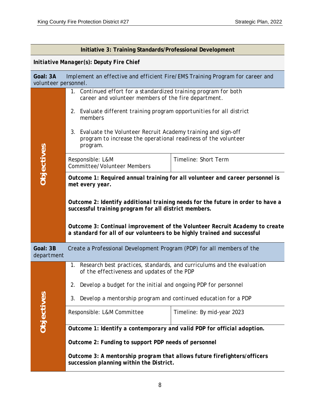|                                                                                                                   | Initiative 3: Training Standards/Professional Development                                                                                               |                                                                        |  |  |
|-------------------------------------------------------------------------------------------------------------------|---------------------------------------------------------------------------------------------------------------------------------------------------------|------------------------------------------------------------------------|--|--|
| Initiative Manager(s): Deputy Fire Chief                                                                          |                                                                                                                                                         |                                                                        |  |  |
| Implement an effective and efficient Fire/EMS Training Program for career and<br>Goal: 3A<br>volunteer personnel. |                                                                                                                                                         |                                                                        |  |  |
|                                                                                                                   | 1. Continued effort for a standardized training program for both<br>career and volunteer members of the fire department.                                |                                                                        |  |  |
|                                                                                                                   | Evaluate different training program opportunities for all district<br>2.<br>members                                                                     |                                                                        |  |  |
|                                                                                                                   | 3. Evaluate the Volunteer Recruit Academy training and sign-off<br>program to increase the operational readiness of the volunteer<br>program.           |                                                                        |  |  |
| Objectives                                                                                                        | Responsible: L&M<br><b>Committee/Volunteer Members</b>                                                                                                  | Timeline: Short Term                                                   |  |  |
|                                                                                                                   | Outcome 1: Required annual training for all volunteer and career personnel is<br>met every year.                                                        |                                                                        |  |  |
|                                                                                                                   | Outcome 2: Identify additional training needs for the future in order to have a<br>successful training program for all district members.                |                                                                        |  |  |
|                                                                                                                   | Outcome 3: Continual improvement of the Volunteer Recruit Academy to create<br>a standard for all of our volunteers to be highly trained and successful |                                                                        |  |  |
| Goal: 3B<br>department                                                                                            | Create a Professional Development Program (PDP) for all members of the                                                                                  |                                                                        |  |  |
|                                                                                                                   | 1.<br>of the effectiveness and updates of the PDP                                                                                                       | Research best practices, standards, and curriculums and the evaluation |  |  |
|                                                                                                                   | Develop a budget for the initial and ongoing PDP for personnel<br>2.                                                                                    |                                                                        |  |  |
|                                                                                                                   | Develop a mentorship program and continued education for a PDP<br>3.                                                                                    |                                                                        |  |  |
| <b>Objectives</b>                                                                                                 | Responsible: L&M Committee                                                                                                                              | Timeline: By mid-year 2023                                             |  |  |
|                                                                                                                   | Outcome 1: Identify a contemporary and valid PDP for official adoption.                                                                                 |                                                                        |  |  |
|                                                                                                                   | Outcome 2: Funding to support PDP needs of personnel                                                                                                    |                                                                        |  |  |
|                                                                                                                   | Outcome 3: A mentorship program that allows future firefighters/officers<br>succession planning within the District.                                    |                                                                        |  |  |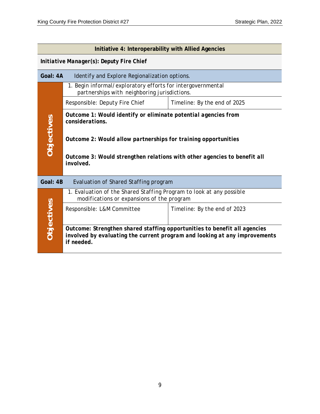| Initiative 4: Interoperability with Allied Agencies |                                                                                                                                                                       |                              |  |  |  |
|-----------------------------------------------------|-----------------------------------------------------------------------------------------------------------------------------------------------------------------------|------------------------------|--|--|--|
| Initiative Manager(s): Deputy Fire Chief            |                                                                                                                                                                       |                              |  |  |  |
| Goal: 4A                                            | Identify and Explore Regionalization options.                                                                                                                         |                              |  |  |  |
|                                                     | 1. Begin informal/exploratory efforts for intergovernmental<br>partnerships with neighboring jurisdictions.                                                           |                              |  |  |  |
| Objectives                                          | Responsible: Deputy Fire Chief                                                                                                                                        | Timeline: By the end of 2025 |  |  |  |
|                                                     | Outcome 1: Would identify or eliminate potential agencies from<br>considerations.                                                                                     |                              |  |  |  |
|                                                     | Outcome 2: Would allow partnerships for training opportunities                                                                                                        |                              |  |  |  |
|                                                     | Outcome 3: Would strengthen relations with other agencies to benefit all<br>involved.                                                                                 |                              |  |  |  |
| Goal: 4B<br>Evaluation of Shared Staffing program   |                                                                                                                                                                       |                              |  |  |  |
| Objectives                                          | 1. Evaluation of the Shared Staffing Program to look at any possible<br>modifications or expansions of the program                                                    |                              |  |  |  |
|                                                     | Responsible: L&M Committee                                                                                                                                            | Timeline: By the end of 2023 |  |  |  |
|                                                     | Outcome: Strengthen shared staffing opportunities to benefit all agencies<br>involved by evaluating the current program and looking at any improvements<br>if needed. |                              |  |  |  |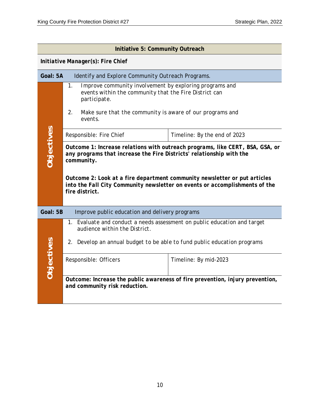| Initiative 5: Community Outreach                           |                                                                                                                                                                                                                                                                                                                                                   |                                                                               |  |  |
|------------------------------------------------------------|---------------------------------------------------------------------------------------------------------------------------------------------------------------------------------------------------------------------------------------------------------------------------------------------------------------------------------------------------|-------------------------------------------------------------------------------|--|--|
| Initiative Manager(s): Fire Chief                          |                                                                                                                                                                                                                                                                                                                                                   |                                                                               |  |  |
| Goal: 5A                                                   | Identify and Explore Community Outreach Programs.                                                                                                                                                                                                                                                                                                 |                                                                               |  |  |
|                                                            | Improve community involvement by exploring programs and<br>1.<br>events within the community that the Fire District can<br>participate.<br>Make sure that the community is aware of our programs and<br>2.<br>events.                                                                                                                             |                                                                               |  |  |
|                                                            | Responsible: Fire Chief                                                                                                                                                                                                                                                                                                                           | Timeline: By the end of 2023                                                  |  |  |
| <b>Objectives</b>                                          | Outcome 1: Increase relations with outreach programs, like CERT, BSA, GSA, or<br>any programs that increase the Fire Districts' relationship with the<br>community.<br>Outcome 2: Look at a fire department community newsletter or put articles<br>into the Fall City Community newsletter on events or accomplishments of the<br>fire district. |                                                                               |  |  |
| Goal: 5B<br>Improve public education and delivery programs |                                                                                                                                                                                                                                                                                                                                                   |                                                                               |  |  |
| Objectives                                                 | 1. Evaluate and conduct a needs assessment on public education and target<br>audience within the District.<br>Develop an annual budget to be able to fund public education programs<br>2.                                                                                                                                                         |                                                                               |  |  |
|                                                            | Responsible: Officers                                                                                                                                                                                                                                                                                                                             | Timeline: By mid-2023                                                         |  |  |
|                                                            | and community risk reduction.                                                                                                                                                                                                                                                                                                                     | Outcome: Increase the public awareness of fire prevention, injury prevention, |  |  |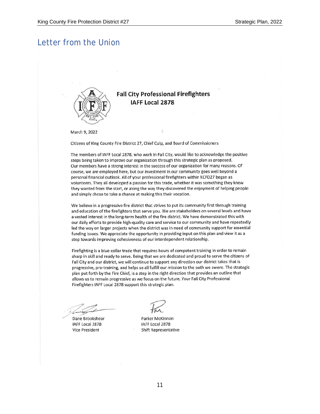### Letter from the Union



### **Fall City Professional Firefighters** IAFF Local 2878

March 9, 2022

Citizens of King County Fire District 27, Chief Culp, and Board of Commissioners

The members of IAFF Local 2878, who work in Fall City, would like to acknowledge the positive steps being taken to improve our organization through this strategic plan as proposed. Our members have a strong interest in the success of our organization for many reasons. Of course, we are employed here, but our investment in our community goes well beyond a personal financial outlook. All of your professional firefighters within KCFD27 began as volunteers. They all developed a passion for this trade, whether it was something they knew they wanted from the start, or along the way they discovered the enjoyment of helping people and simply chose to take a chance at making this their vocation.

We believe in a progressive fire district that strives to put its community first through training and education of the firefighters that serve you. We are stakeholders on several levels and have a vested interest in the long-term health of the fire district. We have demonstrated this with our daily efforts to provide high-quality care and service to our community and have repeatedly led the way on larger projects when the district was in need of community support for essential funding issues. We appreciate the opportunity in providing input on this plan and view it as a step towards improving cohesiveness of our interdependent relationship.

Firefighting is a blue-collar trade that requires hours of competent training in order to remain sharp in skill and ready to serve. Being that we are dedicated and proud to serve the citizens of Fall City and our district, we will continue to support any direction our district takes that is progressive, pro-training, and helps us all fulfill our mission to the oath we swore. The strategic plan put forth by the Fire Chief, is a step in the right direction that provides an outline that allows us to remain progressive as we focus on the future. Your Fall City Professional Firefighters IAFF Local 2878 support this strategic plan.

Dane Brookshear IAFF Local 2878 Vice President

Parker McKinnon IAFF Local 2878 **Shift Representative**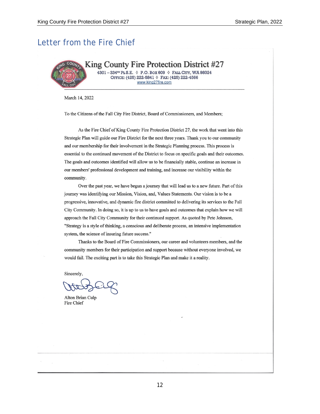### Letter from the Fire Chief



King County Fire Protection District #27 4301-334TH PL S.E. 0 P.O. BOX 609 0 FALL CITY, WA 98024

OFFICE: (425) 222-5841 0 FAX: (425) 222-4566 www.king27fire.com

March 14, 2022

To the Citizens of the Fall City Fire District, Board of Commissioners, and Members;

As the Fire Chief of King County Fire Protection District 27, the work that went into this Strategic Plan will guide our Fire District for the next three years. Thank you to our community and our membership for their involvement in the Strategic Planning process. This process is essential to the continued movement of the District to focus on specific goals and their outcomes. The goals and outcomes identified will allow us to be financially stable, continue an increase in our members' professional development and training, and increase our visibility within the community.

Over the past year, we have begun a journey that will lead us to a new future. Part of this journey was identifying our Mission, Vision, and, Values Statements. Our vision is to be a progressive, innovative, and dynamic fire district committed to delivering its services to the Fall City Community. In doing so, it is up to us to have goals and outcomes that explain how we will approach the Fall City Community for their continued support. As quoted by Pete Johnson, "Strategy is a style of thinking, a conscious and deliberate process, an intensive implementation system, the science of insuring future success."

Thanks to the Board of Fire Commissioners, our career and volunteers members, and the community members for their participation and support because without everyone involved, we would fail. The exciting part is to take this Strategic Plan and make it a reality.

Sincerely,

Alton Brian Culp Fire Chief